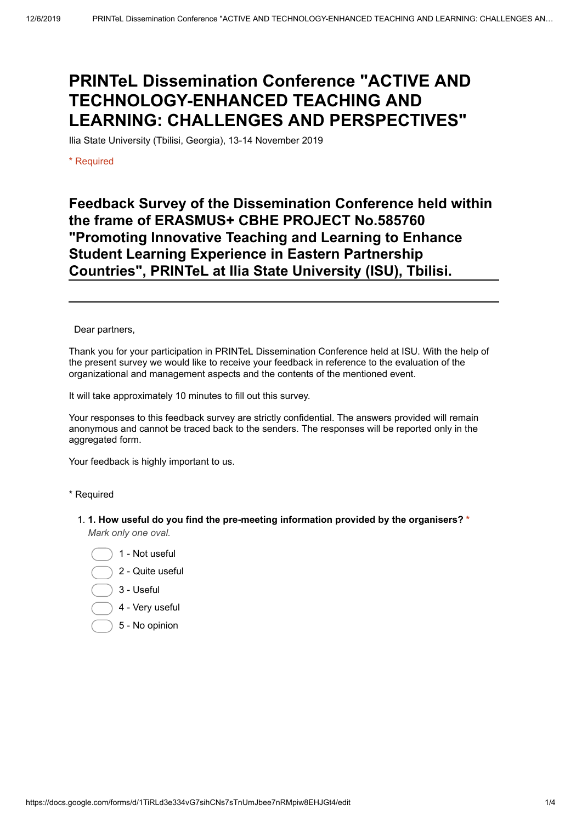# **PRINTeL Dissemination Conference "ACTIVE AND TECHNOLOGY-ENHANCED TEACHING AND LEARNING: CHALLENGES AND PERSPECTIVES"**

Ilia State University (Tbilisi, Georgia), 13-14 November 2019

\* Required

# **Feedback Survey of the Dissemination Conference held within the frame of ERASMUS+ CBHE PROJECT No.585760 "Promoting Innovative Teaching and Learning to Enhance Student Learning Experience in Eastern Partnership Countries", PRINTeL at Ilia State University (ISU), Tbilisi.**

Dear partners,

Thank you for your participation in PRINTeL Dissemination Conference held at ISU. With the help of the present survey we would like to receive your feedback in reference to the evaluation of the organizational and management aspects and the contents of the mentioned event.

It will take approximately 10 minutes to fill out this survey.

Your responses to this feedback survey are strictly confidential. The answers provided will remain anonymous and cannot be traced back to the senders. The responses will be reported only in the aggregated form.

Your feedback is highly important to us.

\* Required

- 1. **1. How useful do you find the pre-meeting information provided by the organisers? \*** *Mark only one oval.*
	- 1 Not useful
	- 2 Quite useful
	- 3 Useful
	- 4 Very useful
	- 5 No opinion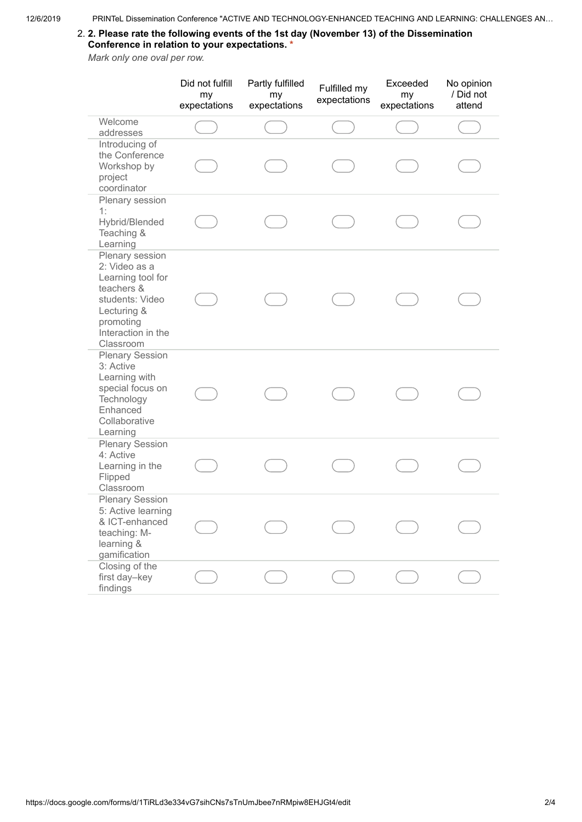### 2. **2. Please rate the following events of the 1st day (November 13) of the Dissemination Conference in relation to your expectations. \***

*Mark only one oval per row.*

|                                                                                                                                                       | Did not fulfill<br>my<br>expectations | Partly fulfilled<br>my<br>expectations | Fulfilled my<br>expectations | Exceeded<br>my<br>expectations | No opinion<br>/ Did not<br>attend |
|-------------------------------------------------------------------------------------------------------------------------------------------------------|---------------------------------------|----------------------------------------|------------------------------|--------------------------------|-----------------------------------|
| Welcome<br>addresses                                                                                                                                  |                                       |                                        |                              |                                |                                   |
| Introducing of<br>the Conference<br>Workshop by<br>project<br>coordinator                                                                             |                                       |                                        |                              |                                |                                   |
| Plenary session<br>1:<br>Hybrid/Blended<br>Teaching &<br>Learning                                                                                     |                                       |                                        |                              |                                |                                   |
| Plenary session<br>2: Video as a<br>Learning tool for<br>teachers &<br>students: Video<br>Lecturing &<br>promoting<br>Interaction in the<br>Classroom |                                       |                                        |                              |                                |                                   |
| <b>Plenary Session</b><br>3: Active<br>Learning with<br>special focus on<br>Technology<br>Enhanced<br>Collaborative<br>Learning                       |                                       |                                        |                              |                                |                                   |
| <b>Plenary Session</b><br>4: Active<br>Learning in the<br>Flipped<br>Classroom                                                                        |                                       |                                        |                              |                                |                                   |
| <b>Plenary Session</b><br>5: Active learning<br>& ICT-enhanced<br>teaching: M-<br>learning &<br>gamification                                          |                                       |                                        |                              |                                |                                   |
| Closing of the<br>first day-key<br>findings                                                                                                           |                                       |                                        |                              |                                |                                   |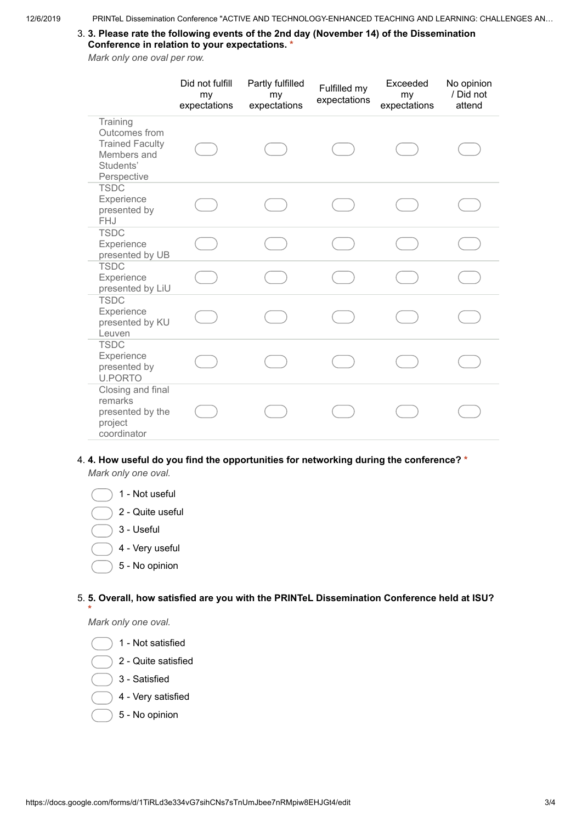### 3. **3. Please rate the following events of the 2nd day (November 14) of the Dissemination Conference in relation to your expectations. \***

*Mark only one oval per row.*

|                                                                                                | Did not fulfill<br>my<br>expectations | Partly fulfilled<br>my<br>expectations | Fulfilled my<br>expectations | Exceeded<br>my<br>expectations | No opinion<br>/ Did not<br>attend |
|------------------------------------------------------------------------------------------------|---------------------------------------|----------------------------------------|------------------------------|--------------------------------|-----------------------------------|
| Training<br>Outcomes from<br><b>Trained Faculty</b><br>Members and<br>Students'<br>Perspective |                                       |                                        |                              |                                |                                   |
| <b>TSDC</b><br>Experience<br>presented by<br><b>FHJ</b>                                        |                                       |                                        |                              |                                |                                   |
| <b>TSDC</b><br>Experience<br>presented by UB                                                   |                                       |                                        |                              |                                |                                   |
| <b>TSDC</b><br>Experience<br>presented by LiU                                                  |                                       |                                        |                              |                                |                                   |
| <b>TSDC</b><br>Experience<br>presented by KU<br>Leuven                                         |                                       |                                        |                              |                                |                                   |
| <b>TSDC</b><br>Experience<br>presented by<br><b>U.PORTO</b>                                    |                                       |                                        |                              |                                |                                   |
| Closing and final<br>remarks<br>presented by the<br>project<br>coordinator                     |                                       |                                        |                              |                                |                                   |

### 4. **4. How useful do you find the opportunities for networking during the conference? \***

*Mark only one oval.*

- 1 Not useful
- 2 Quite useful
- 3 Useful
- 4 Very useful
- 5 No opinion

5. **5. Overall, how satisfied are you with the PRINTeL Dissemination Conference held at ISU? \***

*Mark only one oval.*

- 1 Not satisfied
- 2 Quite satisfied
- 3 Satisfied
- 4 Very satisfied
- 5 No opinion